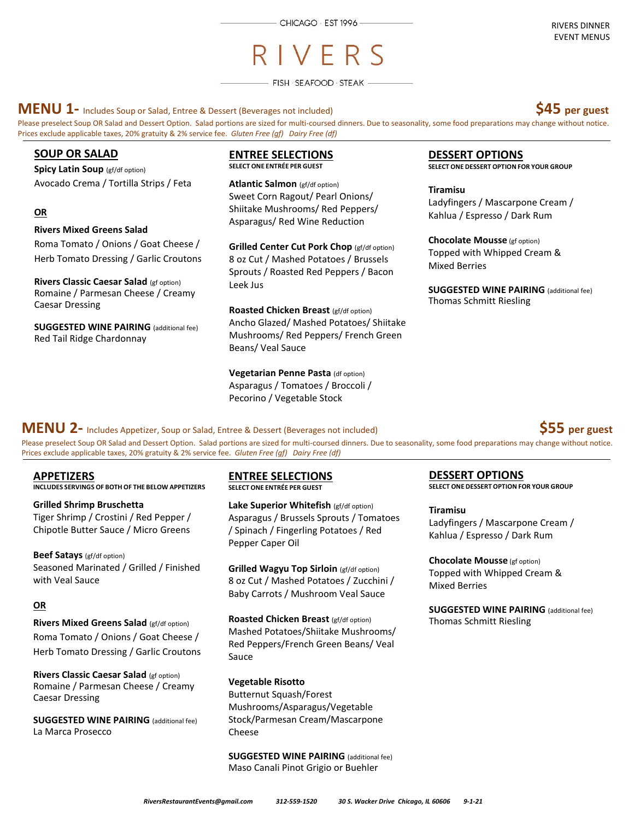# RIVFRS

 $-$  FISH  $\cdot$  SEAFOOD  $\cdot$  STEAK  $-$ 

**MENU 1-** Includes Soup or Salad, Entree & Dessert (Beverages not included) **\$45 per guest** 

Prices exclude applicable taxes, 20% gratuity & 2% service fee. *Gluten Free (gf) Dairy Free (df)*



## **SOUP OR SALAD**

**Spicy Latin Soup** (gf/df option) Avocado Crema / Tortilla Strips / Feta

#### **OR**

#### **Rivers Mixed Greens Salad**

Roma Tomato / Onions / Goat Cheese / Herb Tomato Dressing / Garlic Croutons

**Rivers Classic Caesar Salad** (gf option) Romaine / Parmesan Cheese / Creamy Caesar Dressing

**SUGGESTED WINE PAIRING** (additional fee) Red Tail Ridge Chardonnay

#### **ENTREE SELECTIONS SELECT ONE ENTRÉE PER GUEST**

**Atlantic Salmon** (gf/df option) Sweet Corn Ragout/ Pearl Onions/ Shiitake Mushrooms/ Red Peppers/ Asparagus/ Red Wine Reduction

**Grilled Center Cut Pork Chop** (gf/df option) 8 oz Cut / Mashed Potatoes / Brussels Sprouts / Roasted Red Peppers / Bacon Leek Jus

**Roasted Chicken Breast** (gf/df option) Ancho Glazed/ Mashed Potatoes/ Shiitake Mushrooms/ Red Peppers/ French Green Beans/ Veal Sauce

**Vegetarian Penne Pasta** (df option) Asparagus / Tomatoes / Broccoli / Pecorino / Vegetable Stock

## **DESSERT OPTIONS**

**SELECT ONE DESSERT OPTION FOR YOUR GROUP** 

**Tiramisu**  Ladyfingers / Mascarpone Cream / Kahlua / Espresso / Dark Rum

**Chocolate Mousse** (gf option) Topped with Whipped Cream & Mixed Berries

**SUGGESTED WINE PAIRING** (additional fee) Thomas Schmitt Riesling

# **SUGGESTED WINE PAIRING** (additional fee) **MENU 2-** Includes Appetizer, Soup or Salad, Entree & Dessert (Beverages not included) **\$55 per guest**

Please preselect Soup OR Salad and Dessert Option. Salad portions are sized for multi-coursed dinners. Due to seasonality, some food preparations may change without notice. Prices exclude applicable taxes, 20% gratuity & 2% service fee. *Gluten Free (gf) Dairy Free (df)*

#### **APPETIZERS**

**INCLUDES SERVINGS OF BOTH OF THE BELOW APPETIZERS** 

**Grilled Shrimp Bruschetta**  Tiger Shrimp / Crostini / Red Pepper / Chipotle Butter Sauce / Micro Greens

**Beef Satays** (gf/df option) Seasoned Marinated / Grilled / Finished with Veal Sauce

## **OR**

**Rivers Mixed Greens Salad** (gf/df option) Roma Tomato / Onions / Goat Cheese / Herb Tomato Dressing / Garlic Croutons

**Rivers Classic Caesar Salad** (gf option) Romaine / Parmesan Cheese / Creamy Caesar Dressing

**SUGGESTED WINE PAIRING** (additional fee) La Marca Prosecco

**ENTREE SELECTIONS SELECT ONE ENTRÉE PER GUEST**

**Lake Superior Whitefish** (gf/df option) Asparagus / Brussels Sprouts / Tomatoes / Spinach / Fingerling Potatoes / Red Pepper Caper Oil

**Grilled Wagyu Top Sirloin** (gf/df option) 8 oz Cut / Mashed Potatoes / Zucchini / Baby Carrots / Mushroom Veal Sauce

**Roasted Chicken Breast** (gf/df option) Mashed Potatoes/Shiitake Mushrooms/ Red Peppers/French Green Beans/ Veal Sauce

**Vegetable Risotto**

Butternut Squash/Forest Mushrooms/Asparagus/Vegetable Stock/Parmesan Cream/Mascarpone Cheese

**SUGGESTED WINE PAIRING** (additional fee) Maso Canali Pinot Grigio or Buehler

## **DESSERT OPTIONS**

**SELECT ONE DESSERT OPTION FOR YOUR GROUP** 

#### **Tiramisu**

Ladyfingers / Mascarpone Cream / Kahlua / Espresso / Dark Rum

**Chocolate Mousse** (gf option) Topped with Whipped Cream & Mixed Berries

**SUGGESTED WINE PAIRING** (additional fee) Thomas Schmitt Riesling